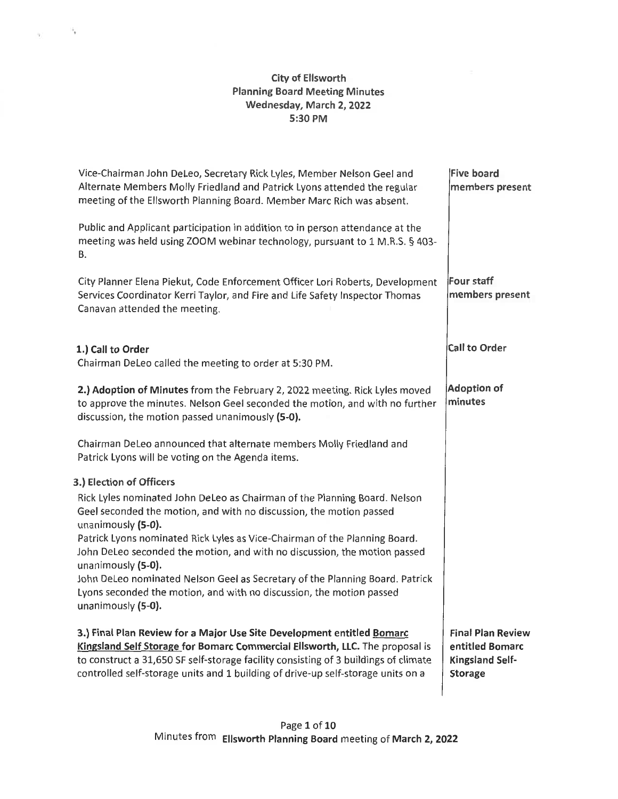# **City of Ellsworth Planning Board Meeting Minutes Wednesday, March 2, <sup>2022</sup> 5:30 PM**

 $\eta_{\rm T}=-\frac{16\pi}{3}$ 

| Vice-Chairman John DeLeo, Secretary Rick Lyles, Member Nelson Geel and<br>Alternate Members Molly Friedland and Patrick Lyons attended the regular<br>meeting of the Ellsworth Planning Board. Member Marc Rich was absent.<br>Public and Applicant participation in addition to in person attendance at the<br>meeting was held using ZOOM webinar technology, pursuant to 1 M.R.S. § 403-<br>В. | <b>Five board</b><br>members present                                             |
|---------------------------------------------------------------------------------------------------------------------------------------------------------------------------------------------------------------------------------------------------------------------------------------------------------------------------------------------------------------------------------------------------|----------------------------------------------------------------------------------|
| City Planner Elena Piekut, Code Enforcement Officer Lori Roberts, Development<br>Services Coordinator Kerri Taylor, and Fire and Life Safety Inspector Thomas<br>Canavan attended the meeting.                                                                                                                                                                                                    | <b>Four staff</b><br>members present                                             |
| 1.) Call to Order<br>Chairman DeLeo called the meeting to order at 5:30 PM.                                                                                                                                                                                                                                                                                                                       | <b>Call to Order</b>                                                             |
| 2.) Adoption of Minutes from the February 2, 2022 meeting. Rick Lyles moved<br>to approve the minutes. Nelson Geel seconded the motion, and with no further<br>discussion, the motion passed unanimously (5-0).                                                                                                                                                                                   | <b>Adoption of</b><br>minutes                                                    |
| Chairman DeLeo announced that alternate members Molly Friedland and<br>Patrick Lyons will be voting on the Agenda items.                                                                                                                                                                                                                                                                          |                                                                                  |
| 3.) Election of Officers                                                                                                                                                                                                                                                                                                                                                                          |                                                                                  |
| Rick Lyles nominated John DeLeo as Chairman of the Planning Board. Nelson<br>Geel seconded the motion, and with no discussion, the motion passed<br>unanimously (5-0).                                                                                                                                                                                                                            |                                                                                  |
| Patrick Lyons nominated Rick Lyles as Vice-Chairman of the Planning Board.<br>John DeLeo seconded the motion, and with no discussion, the motion passed<br>unanimously (5-0).                                                                                                                                                                                                                     |                                                                                  |
| John DeLeo nominated Nelson Geel as Secretary of the Planning Board. Patrick<br>Lyons seconded the motion, and with no discussion, the motion passed<br>unanimously (5-0).                                                                                                                                                                                                                        |                                                                                  |
| 3.) Final Plan Review for a Major Use Site Development entitled Bomarc<br>Kingsland Self Storage for Bomarc Commercial Ellsworth, LLC. The proposal is<br>to construct a 31,650 SF self-storage facility consisting of 3 buildings of climate<br>controlled self-storage units and 1 building of drive-up self-storage units on a                                                                 | <b>Final Plan Review</b><br>entitled Bomarc<br>Kingsland Self-<br><b>Storage</b> |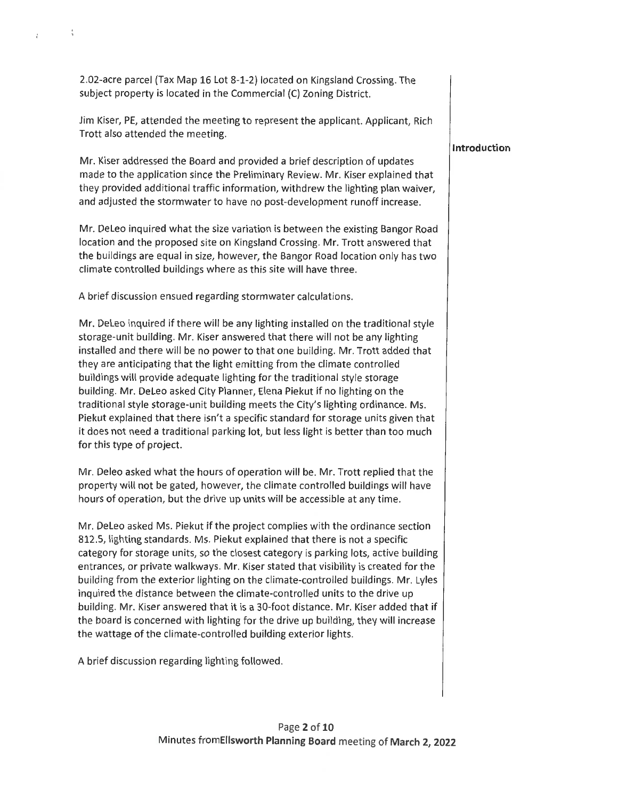**2.02-acre parcel (Tax Map 16 Lot 8-1-2) located on Kingsland Crossing. The subject property is located in the Commercial (C) Zoning District.**

**;**

ł.

**Jim Kiser, PE, attended the meeting to represent the applicant. Applicant, Rich Trott also attended the meeting.**

**Mr. Kiser addressed the Board and provided a brief description of updates made to the application since the Preliminary Review. Mr. Kiser explained that they provided additional traffic information, withdrew the lighting plan waiver, and adjusted the stormwater to have no post-development runoff increase.**

**Mr. DeLeo inquired what the size variation is between the existing Bangor Road location and the proposed site on Kingsland Crossing. Mr. Trott answered that the buildings are equal in size, however,the Bangor Road location only has two climate controlled buildings where as this site will have three.**

**A brief discussion ensued regarding stormwater calculations.**

**Mr. DeLeo inquired if there will be any lighting installed on the traditional style storage-unit building. Mr. Kiser answered that there will not be any lighting installed and there will be no power to that one building. Mr. Trott added that they are anticipating that the light emitting from the climate controlled buildings will provide adequate lighting for the traditional style storage building. Mr. DeLeo asked City Planner, Elena Piekut if no lighting on the traditional style storage-unit building meets the City's lighting ordinance. Ms. Piekut explained that there isn't a specific standard for storage units given that it does not need a traditional parking lot, but less light is better than too much for this type of project.**

**Mr. Deleo asked what the hours of operation will be. Mr. Trott replied that the property will not be gated, however, the climate controlled buildings will have hours of operation,but the drive up units will be accessible at any time.**

**Mr. DeLeo asked Ms. Piekut if the project complies with the ordinance section 812.5, lighting standards. Ms. Piekut explained that there is not <sup>a</sup> specific category for storage units, so the closest category is parking lots, active building entrances, or private walkways. Mr. Kiser stated that visibility is created for the building from the exterior lighting on the climate-controlled buildings. Mr. Lyles inquired the distance between the climate-controlled units to the drive up building. Mr. Kiser answered that it is a 30- foot distance. Mr. Kiser added that if the board is concerned with lighting for the drive up building, they will increase the wattage of the climate-controlled building exterior lights.**

**A brief discussion regarding lighting followed.**

# **Page 2 of 10 Minutes fromEllsworth Planning Board meeting of March 2, <sup>2022</sup>**

### **Introduction**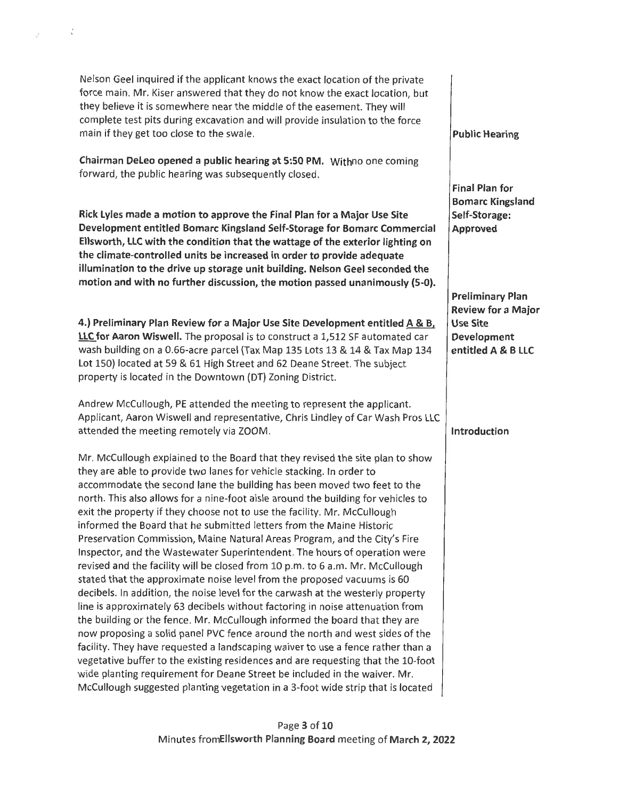Nelson Geel inquired if the applicant knows the exact location of the private force main. Mr. Kiser answered that they do not know the exact location, but they believe it is somewhere near the middle of the easement. They will complete test pits during excavation and will provide insulation to the force main if they get too close to the swale. **Public Hearing Chairman DeLeo opened <sup>a</sup> public hearing at 5:50 PM.** Withno one coming forward, the public hearing was subsequently closed. **Final Plan for Bomarc Kingsland Self-Storage: Approved Rick Lyles made a motion to approve the Final Plan for a Major Use Site Development entitled Bomarc Kingsland Self-Storage for Bomarc Commercial Ellsworth, LLC with the condition that the wattage of the exterior lighting on the climate-controlled units be increased in order to provide adequate illumination to the drive up storage unit building. Nelson Geel seconded the motion and with no further discussion, the motion passed unanimously (5-0). Preliminary Plan Review for a Major Use Site Development entitled A & B LLC 4.) Preliminary Plan Review for a Major Use Site Development entitled A & B, LLC for Aaron Wiswell.** The proposal is to construct <sup>a</sup> 1,512 SF automated car wash building on a 0.66-acre parcel (Tax Map 135 Lots 13 & 14 & Tax Map 134 Lot 150) located at 59 & 61 High Street and 62 Deane Street. The subject property is located in the Downtown (DT) Zoning District. Andrew McCullough, PE attended the meeting to represent the applicant. Applicant, Aaron Wiswell and representative, Chris Lindley of Car Wash Pros LLC attended the meeting remotely via ZOOM. **Introduction** Mr. McCullough explained to the Board that they revised the site plan to show they are able to provide two lanes for vehicle stacking. In order to accommodate the second lane the building has been moved two feet to the north.This also allows for <sup>a</sup> nine-foot aisle around the building for vehicles to exit the property if they choose not to use the facility. Mr. McCullough informed the Board that he submitted letters from the Maine Historic Preservation Commission, Maine Natural Areas Program, and the City's Fire Inspector,and the Wastewater Superintendent. The hours of operation were revised and the facility will be closed from 10 p.m.to 6 a.m. Mr. McCullough stated that the approximate noise level from the proposed vacuums is 60 decibels. In addition, the noise level for the carwash at the westerly property line is approximately 63 decibels without factoring in noise attenuation from the building or the fence. Mr. McCullough informed the board that they are now proposing a solid panel PVC fence around the north and west sides of the facility.They have requested <sup>a</sup> landscaping waiver to use <sup>a</sup> fence rather than <sup>a</sup> vegetative buffer to the existing residences and are requesting that the 10-foot wide planting requirement for Deane Street be included in the waiver. Mr. McCullough suggested planting vegetation in a 3-foot wide strip that is located

 $\frac{1}{2}$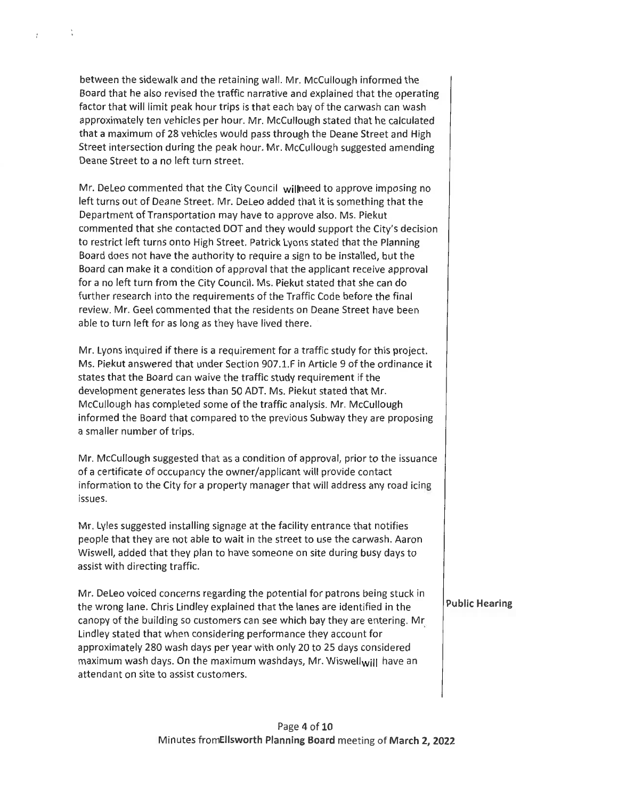**between the sidewalk and the retaining wall. Mr. McCullough informed the Board that he also revised the traffic narrative and explained that the operating factor that will limit peak hour trips is that each bay of the carwash can wash approximately ten vehicles per hour. Mr. McCullough stated that he calculated that a maximum of 28 vehicles would pass through the Deane Street and High Street intersection during the peak hour. Mr. McCullough suggested amending Deane Street to a no left turn street.**

 $\frac{v}{b}$ 

 $\overline{z}$ 

**Mr. DeLeo commented that the City Council wilineed to approve imposing no left turns out of Deane Street. Mr. DeLeo added that it is something that the Department of Transportation may have to approve also. Ms. Piekut commented that she contacted DOT and they would support the City's decision to restrict left turns onto High Street. Patrick Lyons stated that the Planning Board does not have the authority to require a sign to be installed, but the Board can make it a condition of approval that the applicant receive approval for a no left turn from the City Council. Ms. Piekut stated that she can do further research into the requirements of the Traffic Code before the final review. Mr. Geel commented that the residents on Deane Street have been able to turn left for as long as they have lived there.**

Mr. Lyons inquired if there is a requirement for a traffic study for this project.<br>Ms. Piekut answered that under Section 907.1.F in Article 9 of the ordinance it **states that the Board can waive the traffic study requirement if the development generates less than 50 ADT. Ms. Piekut stated that Mr. McCullough has completed some of the traffic analysis. Mr. McCullough informed the Board that compared to the previous Subway they are proposing a smaller number of trips.**

**Mr. McCullough suggested that as a condition of approval, prior to the issuance of <sup>a</sup> certificate of occupancy the owner/applicant will provide contact information to the City for a property manager that will address any road icing issues.**

**Mr. Lyles suggested installing signage at the facility entrance that notifies people that they are not able to wait in the street to use the carwash. Aaron Wiswell, added that they plan to have someone on site during busy days to assist with directing traffic.**

**Mr. DeLeo voiced concerns regarding the potential for patrons being stuck in the wrong lane. Chris Lindley explained that the lanes are identified in the canopy of the building so customers can see which bay they are entering. Mr Lindley stated that when considering performance they account for approximately 280 wash days per year with only 20 to 25 days considered maximum wash days. On the maximum washdays, Mr. Wiswellwj|| have an attendant on site to assist customers. Public Hearing**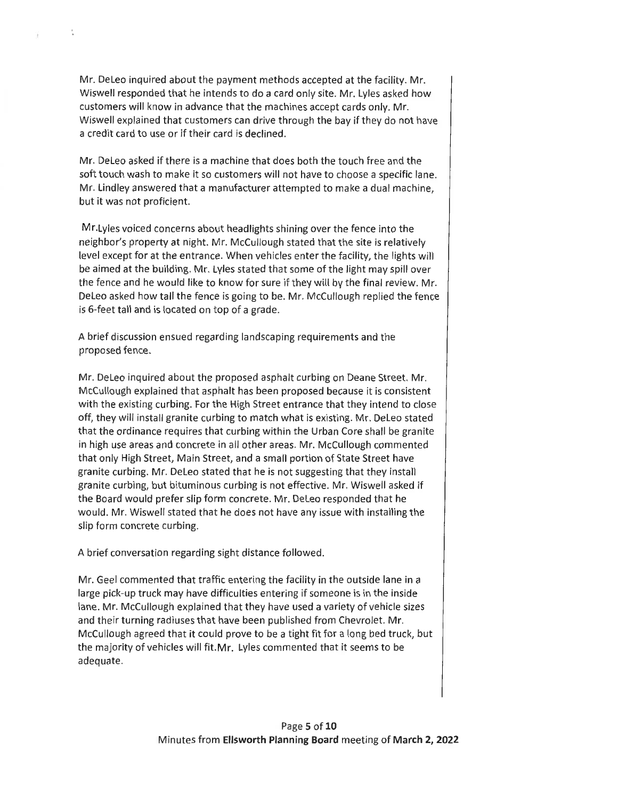**Mr. DeLeo inquired about the payment methods accepted at the facility. Mr. Wiswell responded that he intends to do a card only site. Mr. Lyles asked how customers will know in advance that the machines accept cards only. Mr. Wiswell explained that customers can drive through the bay if they do not have a credit card to use or if their card is declined.**

 $\frac{1}{\alpha}$ 

**Mr. DeLeo asked if there is a machine that does both the touch free and the soft touch wash to make it so customers will not have to choose a specific lane. Mr. Lindley answered that <sup>a</sup> manufacturer attempted to make <sup>a</sup> dual machine, but it was not proficient.**

**Mr.Lyles voiced concerns about headlights shining over the fence into the neighbor's property at night. Mr. McCullough stated that the site is relatively level except for at the entrance. When vehicles enter the facility, the lights will be aimed at the building. Mr. Lyles stated that some of the light may spill over the fence and he would like to know for sure if they will by the final review. Mr. DeLeo asked how tall the fence is going to be. Mr. McCullough replied the fence is 6-feet tall and is located on top of a grade.**

**A brief discussion ensued regarding landscaping requirements and the proposed fence.**

**Mr. DeLeo inquired about the proposed asphalt curbing on Deane Street. Mr. McCullough explained that asphalt has been proposed because it is consistent with the existing curbing. For the High Street entrance that they intend to close off, they will install granite curbing to match what is existing. Mr. DeLeo stated that the ordinance requires that curbing within the Urban Core shall be granite in high use areas and concrete in all other areas. Mr. McCullough commented that only High Street, Main Street, and <sup>a</sup> small portion of State Street have granite curbing. Mr. DeLeo stated that he is not suggesting that they install granite curbing, but bituminous curbing is not effective. Mr. Wiswell asked if the Board would prefer slip form concrete. Mr. DeLeo responded that he would. Mr. Wiswell stated that he does not have any issue with installing the slip form concrete curbing.**

**A brief conversation regarding sight distance followed.**

**Mr. Geel commented that traffic entering the facility in the outside lane in a large pick-up truck may have difficulties entering if someone is in the inside lane. Mr. McCullough explained that they have used a variety of vehicle sizes and their turning radiuses that have been published from Chevrolet. Mr. McCullough agreed that it could prove to be <sup>a</sup> tight fit for <sup>a</sup> long bed truck, but the majority of vehicles will fit.Mr. Lyles commented that it seems to be adequate.**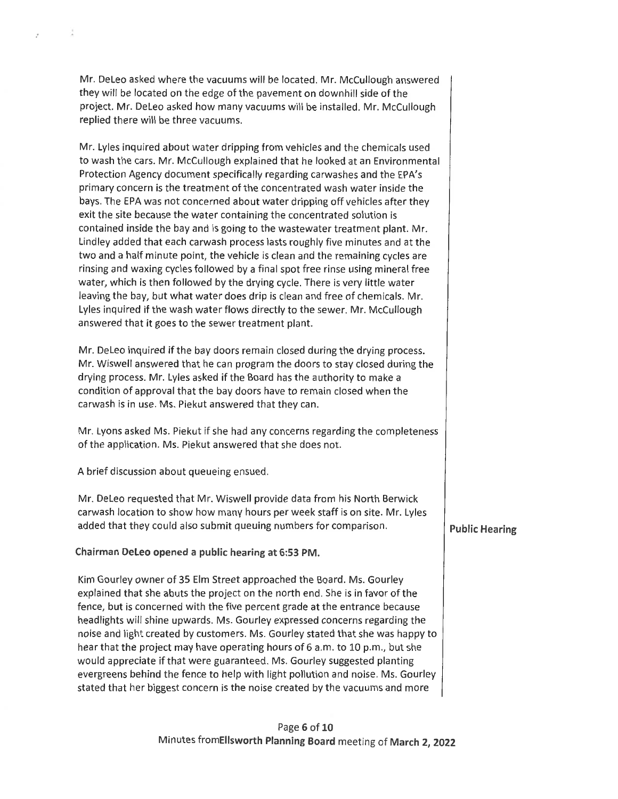**Mr. DeLeo asked where the vacuums will be located. Mr. McCullough answered they will be located on the edge of the pavement on downhill side of the project. Mr. DeLeo asked how many vacuums will be installed. Mr. McCullough replied there will be three vacuums.**

**Mr. Lyles inquired about water dripping from vehicles and the chemicals used to wash the cars. Mr. McCullough explained that he looked at an Environmental Protection Agency document specifically regarding carwashes and the EPA's primary concern is the treatment of the concentrated wash water inside the bays. The EPA was not concerned about water dripping off vehicles after they exit the site because the water containing the concentrated solution is contained inside the bay and is going to the wastewater treatment plant. Mr. Lindley added that each carwash process lasts roughly five minutes and at the two and <sup>a</sup> half minute point, the vehicle is clean and the remaining cycles are rinsing and waxing cycles followed by a final spot free rinse using mineral free water, which is then followed by the drying cycle. There is very little water leaving the bay, but what water does drip is clean and free of chemicals. Mr. Lyles inquired if the wash water flows directly to the sewer. Mr. McCullough answered that it goes to the sewer treatment plant.**

**Mr. DeLeo inquired if the bay doors remain closed during the drying process. Mr. Wiswell answered that he can program the doors to stay closed during the drying process. Mr. Lyles asked if the Board has the authority to make a condition of approval that the bay doors have to remain closed when the carwash is in use. Ms. Piekut answered that they can.**

**Mr. Lyons asked Ms. Piekut if she had any concerns regarding the completeness of the application. Ms. Piekut answered that she does not.**

**A brief discussion about queueing ensued.**

ä

 $\bar{J}$ 

**Mr. DeLeo requested that Mr. Wiswell provide data from his North Berwick carwash location to show how many hours per week staff is on site. Mr. Lyles added that they** could also submit queuing numbers for comparison. **Public Hearing** 

**Chairman DeLeo opened a public hearing at 6:53 PM.**

**Kim Gourley owner of 35 Elm Street approached the Board. Ms. Gourley explained that she abuts the project on the north end. She is in favor of the fence, but is concerned with the five percent grade at the entrance because headlights will shine upwards. Ms. Gourley expressed concerns regarding the noise and light created by customers. Ms. Gourley stated that she was happy to hear that the project may have operating hours of 6 a.m. to 10 p.m., but she would appreciate if that were guaranteed. Ms. Gourley suggested planting evergreens behind the fence to help with light pollution and noise. Ms. Gourley stated that her biggest concern is the noise created by the vacuums and more**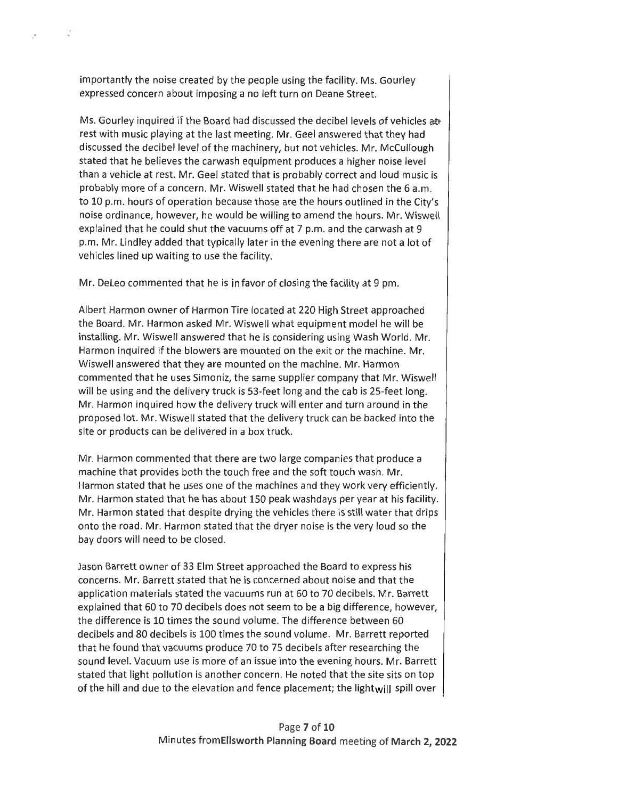**importantly the noise created by the people using the facility. Ms. Gourley expressed concern about imposing a no left turn on Deane Street.**

**Ms. Gourley inquired if the Board had discussed the decibel levels of vehicles afr rest with music playing at the last meeting. Mr. Geel answered that they had discussed the decibel level of the machinery, but not vehicles. Mr. McCullough stated that he believes the carwash equipment produces a higher noise level than a vehicle at rest. Mr. Geel stated that is probably correct and loud music is probably more of a concern. Mr. Wiswell stated that he had chosen the 6 a.m. to 10 p.m. hours of operation because those are the hours outlined in the City's noise ordinance, however, he would be willing to amend the hours. Mr. Wiswell explained that he could shut the vacuums off at 7 p.m. and the carwash at 9 p.m. Mr. Lindley added that typically later in the evening there are not a lot of vehicles lined up waiting to use the facility.**

**Mr. DeLeo commented that he is in favor of closing the facility at 9 pm.**

**Albert Harmon owner of Harmon Tire located at 220 High Street approached the Board. Mr. Harmon asked Mr. Wiswell what equipment model he will be installing. Mr. Wiswell answered that he is considering using Wash World. Mr. Harmon inquired if the blowers are mounted on the exit or the machine. Mr. Wiswell answered that they are mounted on the machine. Mr. Harmon commented that he uses Simoniz, the same supplier company that Mr. Wiswell will be using and the delivery truck is 53-feet long and the cab is 25-feet long. Mr. Harmon inquired how the delivery truck will enter and turn around in the proposed lot. Mr. Wiswell stated that the delivery truck can be backed into the site or products can be delivered in a box truck.**

**Mr. Harmon commented that there are two large companies that produce a machine that provides both the touch free and the soft touch wash. Mr. Harmon stated that he uses one of the machines and they work very efficiently. Mr. Harmon stated that he has about 150 peak washdays per year at his facility. Mr. Harmon stated that despite drying the vehicles there is still water that drips onto the road. Mr. Harmon stated that the dryer noise is the very loud so the bay doors will need to be closed.**

**Jason Barrett owner of 33 Elm Street approached the Board to express his concerns. Mr. Barrett stated that he is concerned about noise and that the application materials stated the vacuums run at 60 to 70 decibels. Mr. Barrett explained that 60 to 70 decibels does not seem to be <sup>a</sup> big difference, however, the difference is 10 times the sound volume. The difference between 60 decibels and 80 decibels is 100 times the sound volume. Mr. Barrett reported that he found that vacuums produce 70 to 75 decibels after researching the sound level. Vacuum use is more of an issue into the evening hours. Mr. Barrett stated that light pollution is another concern. He noted that the site sits on top of the hill and due to the elevation and fence placement;the lightwill spill over**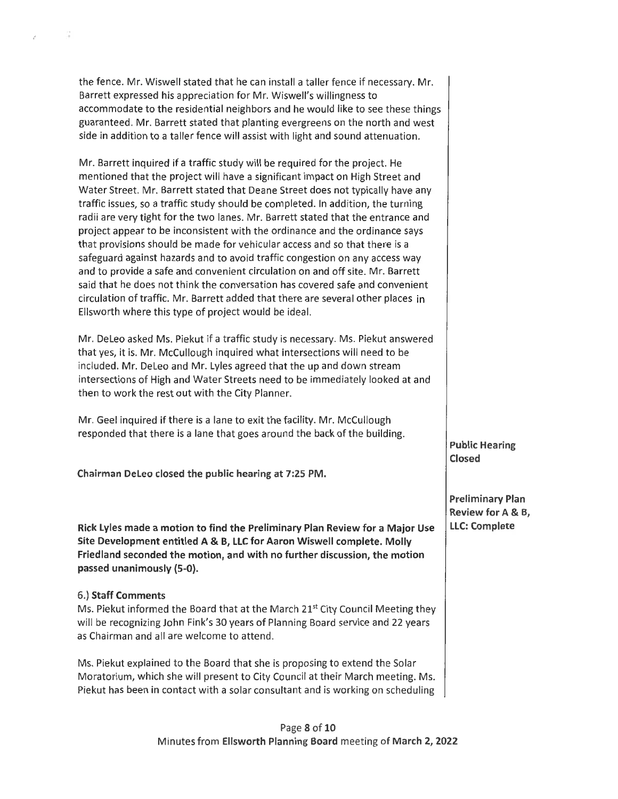**the fence. Mr. Wiswell stated that he can install a taller fence if necessary. Mr. Barrett expressed his appreciation for Mr. Wiswell's willingness to accommodate to the residential neighbors and he would like to see these things guaranteed. Mr. Barrett stated that planting evergreens on the north and west side in addition to a taller fence will assist with light and sound attenuation.**

**Mr. Barrett inquired if a traffic study will be required for the project. He mentioned that the project will have a significant impact on High Street and Water Street. Mr. Barrett stated that Deane Street does not typically have any traffic issues, so <sup>a</sup> traffic study should be completed. In addition, the turning radii are very tight for the two lanes. Mr. Barrett stated that the entrance and project appear to be inconsistent with the ordinance and the ordinance says that provisions should be made for vehicular access and so that there is a safeguard against hazards and to avoid traffic congestion on any access way and to provide a safe and convenient circulation on and off site. Mr. Barrett said that he does not think the conversation has covered safe and convenient circulation of traffic. Mr. Barrett added that there are several other places in Ellsworth where this type of project would be ideal.**

**Mr. DeLeo asked Ms. Piekut if a traffic study is necessary. Ms. Piekut answered that yes, it is. Mr. McCullough inquired what intersections will need to be included. Mr. DeLeo and Mr. Lyles agreed that the up and down stream intersections of High and Water Streets need to be immediately looked at and then to work the rest out with the City Planner.**

**Mr. Geel inquired if there is a lane to exit the facility. Mr. McCullough responded that there is a lane that goes around the back of the building.**

**Chairman DeLeo closed the public hearing at 7:25 PM.**

**Rick Lyles made <sup>a</sup> motion to find the Preliminary Plan Review for <sup>a</sup> Major Use LLC: Complete Site Development entitled <sup>A</sup> & B, LLC for Aaron Wiswell complete. Molly Friedland seconded the motion, and with no further discussion, the motion passed unanimously (5-0).**

#### **6.) Staff Comments**

 $\sim$ 

y.

**Ms. Piekut informed the Board that at the March 21st City Council Meeting they will be recognizing John Fink's 30 years of Planning Board service and 22 years as Chairman and all are welcome to attend.**

**Ms. Piekut explained to the Board that she is proposing to extend the Solar Moratorium, which she will present to City Council at their March meeting. Ms. Piekut has been in contact with a solar consultant and is working on scheduling**

**Public Hearing Closed**

**Preliminary Plan Review for <sup>A</sup> & B,**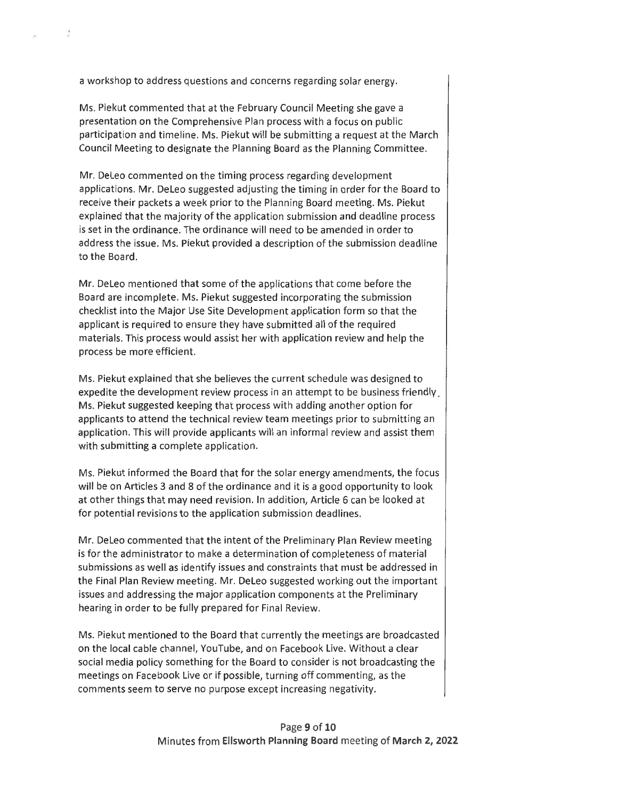**a workshop to address questions and concerns regarding solar energy.**

- 9

**Ms. Piekut commented that at the February Council Meeting she gave a presentation on the Comprehensive Plan process with a focus on public participation and timeline. Ms. Piekut will be submitting a request at the March Council Meeting to designate the Planning Board as the Planning Committee.**

**Mr. DeLeo commented on the timing process regarding development applications. Mr. DeLeo suggested adjusting the timing in order for the Board to receive their packets a week prior to the Planning Board meeting. Ms. Piekut explained that the majority of the application submission and deadline process is set in the ordinance. The ordinance will need to be amended in order to address the issue. Ms. Piekut provided a description of the submission deadline to the Board.**

**Mr. DeLeo mentioned that some of the applications that come before the Board are incomplete. Ms. Piekut suggested incorporating the submission checklist into the Major Use Site Development application form so that the applicant is required to ensure they have submitted all of the required materials. This process would assist her with application review and help the process be more efficient.**

**Ms. Piekut explained that she believes the current schedule was designed to expedite the development review process in an attempt to be business friendly. Ms. Piekut suggested keeping that process with adding another option for applicants to attend the technical review team meetings prior to submitting an application. This will provide applicants will an informal review and assist them with submitting a complete application.**

**Ms. Piekut informed the Board that for the solar energy amendments, the focus will be on Articles 3 and 8 of the ordinance and it is a good opportunity to look at other things that may need revision. In addition, Article 6 can be looked at for potential revisions to the application submission deadlines.**

**Mr. DeLeo commented that the intent of the Preliminary Plan Review meeting is for the administrator to make a determination of completeness of material submissions as well as identify issues and constraints that must be addressed in the Final Plan Review meeting. Mr. DeLeo suggested working out the important issues and addressing the major application components at the Preliminary hearing in order to be fully prepared for Final Review.**

**Ms. Piekut mentioned to the Board that currently the meetings are broadcasted on the local cable channel, YouTube, and on Facebook Live. Without <sup>a</sup> clear social media policy something for the Board to consider is not broadcasting the meetings on Facebook Live or if possible, turning off commenting, as the comments seem to serve no purpose except increasing negativity.**